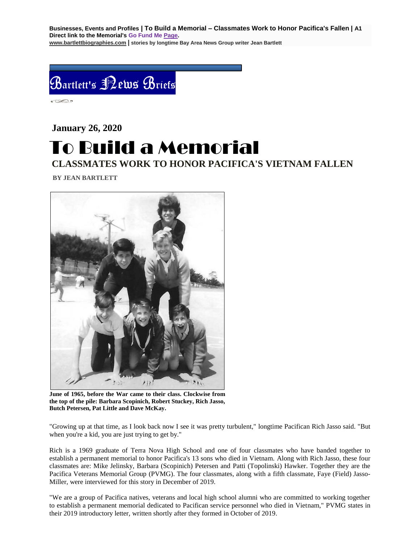**Businesses, Events and Profiles | To Build a Memorial – Classmates Work to Honor Pacifica's Fallen | A1 Direct link to the Memorial's Go Fund Me [Page.](https://www.gofundme.com/f/uyf8r-25000?utm_source=customer&utm_medium=copy_link-tip&utm_campaign=p_cp+share-sheet) [www.bartlettbiographies.com](http://www.bartlettbiographies.com/) | stories by longtime Bay Area News Group writer Jean Bartlett**



 $\circ$ 

# **January 26, 2020** To Build a Memorial **CLASSMATES WORK TO HONOR PACIFICA'S VIETNAM FALLEN**

 **BY JEAN BARTLETT**



**June of 1965, before the War came to their class. Clockwise from the top of the pile: Barbara Scopinich, Robert Stuckey, Rich Jasso, Butch Petersen, Pat Little and Dave McKay.**

"Growing up at that time, as I look back now I see it was pretty turbulent," longtime Pacifican Rich Jasso said. "But when you're a kid, you are just trying to get by."

Rich is a 1969 graduate of Terra Nova High School and one of four classmates who have banded together to establish a permanent memorial to honor Pacifica's 13 sons who died in Vietnam. Along with Rich Jasso, these four classmates are: Mike Jelinsky, Barbara (Scopinich) Petersen and Patti (Topolinski) Hawker. Together they are the Pacifica Veterans Memorial Group (PVMG). The four classmates, along with a fifth classmate, Faye (Field) Jasso-Miller, were interviewed for this story in December of 2019.

"We are a group of Pacifica natives, veterans and local high school alumni who are committed to working together to establish a permanent memorial dedicated to Pacifican service personnel who died in Vietnam," PVMG states in their 2019 introductory letter, written shortly after they formed in October of 2019.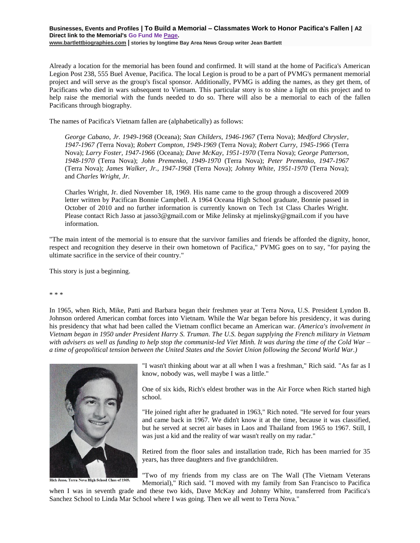## **Businesses, Events and Profiles | To Build a Memorial – Classmates Work to Honor Pacifica's Fallen | A2 Direct link to the Memorial's Go Fund Me [Page.](https://www.gofundme.com/f/uyf8r-25000?utm_source=customer&utm_medium=copy_link-tip&utm_campaign=p_cp+share-sheet) [www.bartlettbiographies.com](http://www.bartlettbiographies.com/) | stories by longtime Bay Area News Group writer Jean Bartlett**

Already a location for the memorial has been found and confirmed. It will stand at the home of Pacifica's American Legion Post 238, 555 Buel Avenue, Pacifica. The local Legion is proud to be a part of PVMG's permanent memorial project and will serve as the group's fiscal sponsor. Additionally, PVMG is adding the names, as they get them, of Pacificans who died in wars subsequent to Vietnam. This particular story is to shine a light on this project and to help raise the memorial with the funds needed to do so. There will also be a memorial to each of the fallen Pacificans through biography.

The names of Pacifica's Vietnam fallen are (alphabetically) as follows:

*George Cabano, Jr. 1949-1968* (Oceana); *Stan Childers, 1946-1967* (Terra Nova); *Medford Chrysler, 1947-1967 (*Terra Nova); *Robert Compton, 1949-1969* (Terra Nova); *Robert Curry, 1945-1966* (Terra Nova); *Larry Foster, 1947-1966* (Oceana); *Dave McKay, 1951-1970* (Terra Nova); *George Patterson, 1948-1970* (Terra Nova); *John Premenko, 1949-1970* (Terra Nova); *Peter Premenko, 1947-1967* (Terra Nova); *James Walker, Jr., 1947-1968* (Terra Nova); *Johnny White, 1951-1970* (Terra Nova); and *Charles Wright, Jr.*

Charles Wright, Jr. died November 18, 1969. His name came to the group through a discovered 2009 letter written by Pacifican Bonnie Campbell. A 1964 Oceana High School graduate, Bonnie passed in October of 2010 and no further information is currently known on Tech 1st Class Charles Wright. Please contact Rich Jasso at jasso3@gmail.com or Mike Jelinsky at [mjelinsky@gmail.com](mailto:mjelinsky@gmail.com) if you have information.

"The main intent of the memorial is to ensure that the survivor families and friends be afforded the dignity, honor, respect and recognition they deserve in their own hometown of Pacifica," PVMG goes on to say, "for paying the ultimate sacrifice in the service of their country."

This story is just a beginning.

\* \* \*

In 1965, when Rich, Mike, Patti and Barbara began their freshmen year at Terra Nova, U.S. President Lyndon B. Johnson ordered American combat forces into Vietnam. While the War began before his presidency, it was during his presidency that what had been called the Vietnam conflict became an American war. *(America's involvement in Vietnam began in 1950 under President Harry S. Truman. The U.S. began supplying the French military in Vietnam with advisers as well as funding to help stop the communist-led Viet Minh. It was during the time of the Cold War – a time of geopolitical tension between the United States and the Soviet Union following the Second World War.)*



Rich Jasso, Terra Nova High School Class of 1969.

"I wasn't thinking about war at all when I was a freshman," Rich said. "As far as I know, nobody was, well maybe I was a little."

One of six kids, Rich's eldest brother was in the Air Force when Rich started high school.

"He joined right after he graduated in 1963," Rich noted. "He served for four years and came back in 1967. We didn't know it at the time, because it was classified, but he served at secret air bases in Laos and Thailand from 1965 to 1967. Still, I was just a kid and the reality of war wasn't really on my radar."

Retired from the floor sales and installation trade, Rich has been married for 35 years, has three daughters and five grandchildren.

"Two of my friends from my class are on The Wall (The Vietnam Veterans Memorial)," Rich said. "I moved with my family from San Francisco to Pacifica

when I was in seventh grade and these two kids, Dave McKay and Johnny White, transferred from Pacifica's Sanchez School to Linda Mar School where I was going. Then we all went to Terra Nova."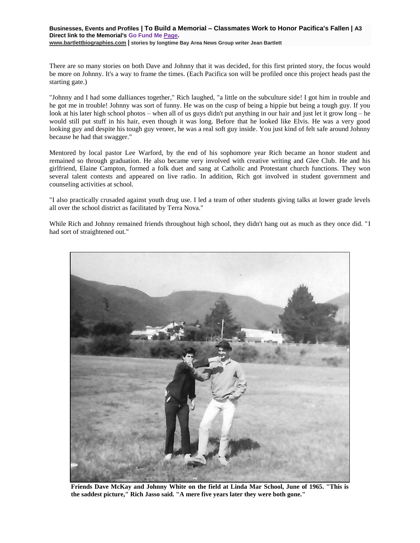There are so many stories on both Dave and Johnny that it was decided, for this first printed story, the focus would be more on Johnny. It's a way to frame the times. (Each Pacifica son will be profiled once this project heads past the starting gate.)

"Johnny and I had some dalliances together," Rich laughed, "a little on the subculture side! I got him in trouble and he got me in trouble! Johnny was sort of funny. He was on the cusp of being a hippie but being a tough guy. If you look at his later high school photos – when all of us guys didn't put anything in our hair and just let it grow long – he would still put stuff in his hair, even though it was long. Before that he looked like Elvis. He was a very good looking guy and despite his tough guy veneer, he was a real soft guy inside. You just kind of felt safe around Johnny because he had that swagger."

Mentored by local pastor Lee Warford, by the end of his sophomore year Rich became an honor student and remained so through graduation. He also became very involved with creative writing and Glee Club. He and his girlfriend, Elaine Campton, formed a folk duet and sang at Catholic and Protestant church functions. They won several talent contests and appeared on live radio. In addition, Rich got involved in student government and counseling activities at school.

"I also practically crusaded against youth drug use. I led a team of other students giving talks at lower grade levels all over the school district as facilitated by Terra Nova."

While Rich and Johnny remained friends throughout high school, they didn't hang out as much as they once did. "I had sort of straightened out."



**Friends Dave McKay and Johnny White on the field at Linda Mar School, June of 1965. "This is the saddest picture," Rich Jasso said. "A mere five years later they were both gone."**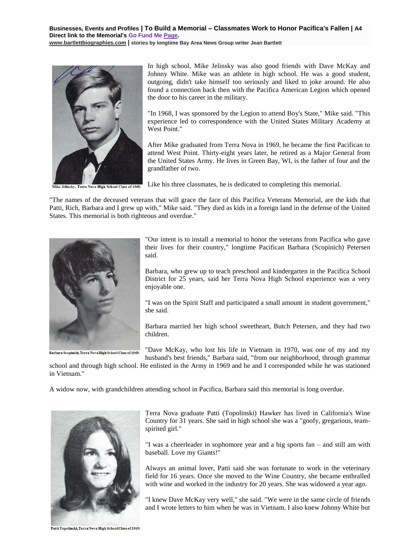**Businesses, Events and Profiles | To Build a Memorial – Classmates Work to Honor Pacifica's Fallen | A4 Direct link to the Memorial's Go Fund Me [Page.](https://www.gofundme.com/f/uyf8r-25000?utm_source=customer&utm_medium=copy_link-tip&utm_campaign=p_cp+share-sheet) [www.bartlettbiographies.com](http://www.bartlettbiographies.com/) | stories by longtime Bay Area News Group writer Jean Bartlett**



Terra Nova High School Class of 1969.

In high school, Mike Jelinsky was also good friends with Dave McKay and Johnny White. Mike was an athlete in high school. He was a good student, outgoing, didn't take himself too seriously and liked to joke around. He also found a connection back then with the Pacifica American Legion which opened the door to his career in the military.

"In 1968, I was sponsored by the Legion to attend Boy's State," Mike said. "This experience led to correspondence with the United States Military Academy at West Point."

After Mike graduated from Terra Nova in 1969, he became the first Pacifican to attend West Point. Thirty-eight years later, he retired as a Major General from the United States Army. He lives in Green Bay, WI, is the father of four and the grandfather of two.

Like his three classmates, he is dedicated to completing this memorial.

"The names of the deceased veterans that will grace the face of this Pacifica Veterans Memorial, are the kids that Patti, Rich, Barbara and I grew up with," Mike said. "They died as kids in a foreign land in the defense of the United States. This memorial is both righteous and overdue."



Barbara Scopinich, Terra Nova High School Class of 1969.

"Our intent is to install a memorial to honor the veterans from Pacifica who gave their lives for their country," longtime Pacifican Barbara (Scopinich) Petersen said.

Barbara, who grew up to teach preschool and kindergarten in the Pacifica School District for 25 years, said her Terra Nova High School experience was a very enjoyable one.

"I was on the Spirit Staff and participated a small amount in student government," she said.

Barbara married her high school sweetheart, Butch Petersen, and they had two children.

"Dave McKay, who lost his life in Vietnam in 1970, was one of my and my husband's best friends," Barbara said, "from our neighborhood, through grammar

school and through high school. He enlisted in the Army in 1969 and he and I corresponded while he was stationed in Vietnam."

A widow now, with grandchildren attending school in Pacifica, Barbara said this memorial is long overdue.



Terra Nova graduate Patti (Topolinski) Hawker has lived in California's Wine Country for 31 years. She said in high school she was a "goofy, gregarious, teamspirited girl."

"I was a cheerleader in sophomore year and a big sports fan – and still am with baseball. Love my Giants!"

Always an animal lover, Patti said she was fortunate to work in the veterinary field for 16 years. Once she moved to the Wine Country, she became enthralled with wine and worked in the industry for 20 years. She was widowed a year ago.

"I knew Dave McKay very well," she said. "We were in the same circle of friends and I wrote letters to him when he was in Vietnam. I also knew Johnny White but

Patti Topolinski, Terra Nova High School Class of 1969.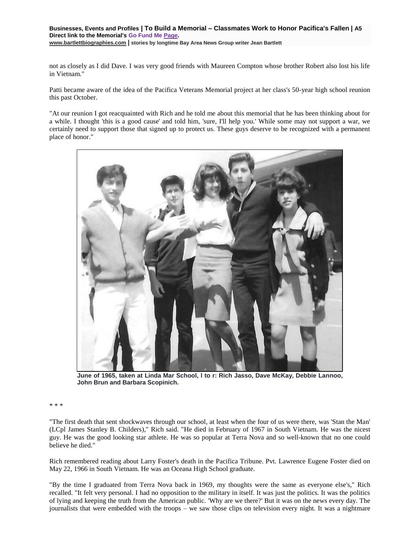#### **Businesses, Events and Profiles | To Build a Memorial – Classmates Work to Honor Pacifica's Fallen | A5 Direct link to the Memorial's Go Fund Me [Page.](https://www.gofundme.com/f/uyf8r-25000?utm_source=customer&utm_medium=copy_link-tip&utm_campaign=p_cp+share-sheet) [www.bartlettbiographies.com](http://www.bartlettbiographies.com/) | stories by longtime Bay Area News Group writer Jean Bartlett**

not as closely as I did Dave. I was very good friends with Maureen Compton whose brother Robert also lost his life in Vietnam."

Patti became aware of the idea of the Pacifica Veterans Memorial project at her class's 50-year high school reunion this past October.

"At our reunion I got reacquainted with Rich and he told me about this memorial that he has been thinking about for a while. I thought 'this is a good cause' and told him, 'sure, I'll help you.' While some may not support a war, we certainly need to support those that signed up to protect us. These guys deserve to be recognized with a permanent place of honor."



**June of 1965, taken at Linda Mar School, l to r: Rich Jasso, Dave McKay, Debbie Lannoo, John Brun and Barbara Scopinich.**

## \* \* \*

"The first death that sent shockwaves through our school, at least when the four of us were there, was 'Stan the Man' (LCpl James Stanley B. Childers)," Rich said. "He died in February of 1967 in South Vietnam. He was the nicest guy. He was the good looking star athlete. He was so popular at Terra Nova and so well-known that no one could believe he died."

Rich remembered reading about Larry Foster's death in the Pacifica Tribune. Pvt. Lawrence Eugene Foster died on May 22, 1966 in South Vietnam. He was an Oceana High School graduate.

"By the time I graduated from Terra Nova back in 1969, my thoughts were the same as everyone else's," Rich recalled. "It felt very personal. I had no opposition to the military in itself. It was just the politics. It was the politics of lying and keeping the truth from the American public. 'Why are we there?' But it was on the news every day. The journalists that were embedded with the troops – we saw those clips on television every night. It was a nightmare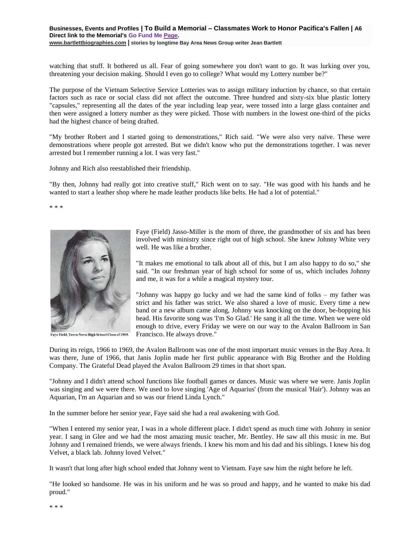## **Businesses, Events and Profiles | To Build a Memorial – Classmates Work to Honor Pacifica's Fallen | A6 Direct link to the Memorial's Go Fund Me [Page.](https://www.gofundme.com/f/uyf8r-25000?utm_source=customer&utm_medium=copy_link-tip&utm_campaign=p_cp+share-sheet) [www.bartlettbiographies.com](http://www.bartlettbiographies.com/) | stories by longtime Bay Area News Group writer Jean Bartlett**

watching that stuff. It bothered us all. Fear of going somewhere you don't want to go. It was lurking over you, threatening your decision making. Should I even go to college? What would my Lottery number be?"

The purpose of the Vietnam Selective Service Lotteries was to assign military induction by chance, so that certain factors such as race or social class did not affect the outcome. Three hundred and sixty-six blue plastic lottery "capsules," representing all the dates of the year including leap year, were tossed into a large glass container and then were assigned a lottery number as they were picked. Those with numbers in the lowest one-third of the picks had the highest chance of being drafted.

"My brother Robert and I started going to demonstrations," Rich said. "We were also very naïve. These were demonstrations where people got arrested. But we didn't know who put the demonstrations together. I was never arrested but I remember running a lot. I was very fast."

Johnny and Rich also reestablished their friendship.

"By then, Johnny had really got into creative stuff," Rich went on to say. "He was good with his hands and he wanted to start a leather shop where he made leather products like belts. He had a lot of potential."

\* \* \*



Faye Field, Terra Nova High School Class of 1969.

Faye (Field) Jasso-Miller is the mom of three, the grandmother of six and has been involved with ministry since right out of high school. She knew Johnny White very well. He was like a brother.

"It makes me emotional to talk about all of this, but I am also happy to do so," she said. "In our freshman year of high school for some of us, which includes Johnny and me, it was for a while a magical mystery tour.

"Johnny was happy go lucky and we had the same kind of folks – my father was strict and his father was strict. We also shared a love of music. Every time a new band or a new album came along, Johnny was knocking on the door, be-bopping his head. His favorite song was 'I'm So Glad.' He sang it all the time. When we were old enough to drive, every Friday we were on our way to the Avalon Ballroom in San Francisco. He always drove."

During its reign, 1966 to 1969, the Avalon Ballroom was one of the most important music venues in the Bay Area. It was there, June of 1966, that Janis Joplin made her first public appearance with Big Brother and the Holding Company. The Grateful Dead played the Avalon Ballroom 29 times in that short span.

"Johnny and I didn't attend school functions like football games or dances. Music was where we were. Janis Joplin was singing and we were there. We used to love singing 'Age of Aquarius' (from the musical 'Hair'). Johnny was an Aquarian, I'm an Aquarian and so was our friend Linda Lynch."

In the summer before her senior year, Faye said she had a real awakening with God.

"When I entered my senior year, I was in a whole different place. I didn't spend as much time with Johnny in senior year. I sang in Glee and we had the most amazing music teacher, Mr. Bentley. He saw all this music in me. But Johnny and I remained friends, we were always friends. I knew his mom and his dad and his siblings. I knew his dog Velvet, a black lab. Johnny loved Velvet."

It wasn't that long after high school ended that Johnny went to Vietnam. Faye saw him the night before he left.

"He looked so handsome. He was in his uniform and he was so proud and happy, and he wanted to make his dad proud."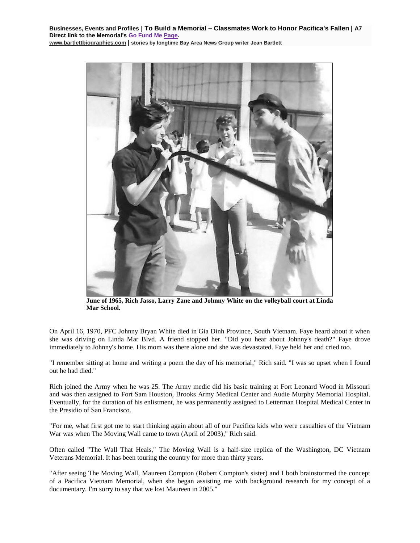**Businesses, Events and Profiles | To Build a Memorial – Classmates Work to Honor Pacifica's Fallen | A7 Direct link to the Memorial's Go Fund Me [Page.](https://www.gofundme.com/f/uyf8r-25000?utm_source=customer&utm_medium=copy_link-tip&utm_campaign=p_cp+share-sheet) [www.bartlettbiographies.com](http://www.bartlettbiographies.com/) | stories by longtime Bay Area News Group writer Jean Bartlett**



**June of 1965, Rich Jasso, Larry Zane and Johnny White on the volleyball court at Linda Mar School.**

On April 16, 1970, PFC Johnny Bryan White died in Gia Dinh Province, South Vietnam. Faye heard about it when she was driving on Linda Mar Blvd. A friend stopped her. "Did you hear about Johnny's death?" Faye drove immediately to Johnny's home. His mom was there alone and she was devastated. Faye held her and cried too.

"I remember sitting at home and writing a poem the day of his memorial," Rich said. "I was so upset when I found out he had died."

Rich joined the Army when he was 25. The Army medic did his basic training at Fort Leonard Wood in Missouri and was then assigned to Fort Sam Houston, Brooks Army Medical Center and Audie Murphy Memorial Hospital. Eventually, for the duration of his enlistment, he was permanently assigned to Letterman Hospital Medical Center in the Presidio of San Francisco.

"For me, what first got me to start thinking again about all of our Pacifica kids who were casualties of the Vietnam War was when The Moving Wall came to town (April of 2003)," Rich said.

Often called "The Wall That Heals," The Moving Wall is a half-size replica of the Washington, DC Vietnam Veterans Memorial. It has been touring the country for more than thirty years.

"After seeing The Moving Wall, Maureen Compton (Robert Compton's sister) and I both brainstormed the concept of a Pacifica Vietnam Memorial, when she began assisting me with background research for my concept of a documentary. I'm sorry to say that we lost Maureen in 2005."